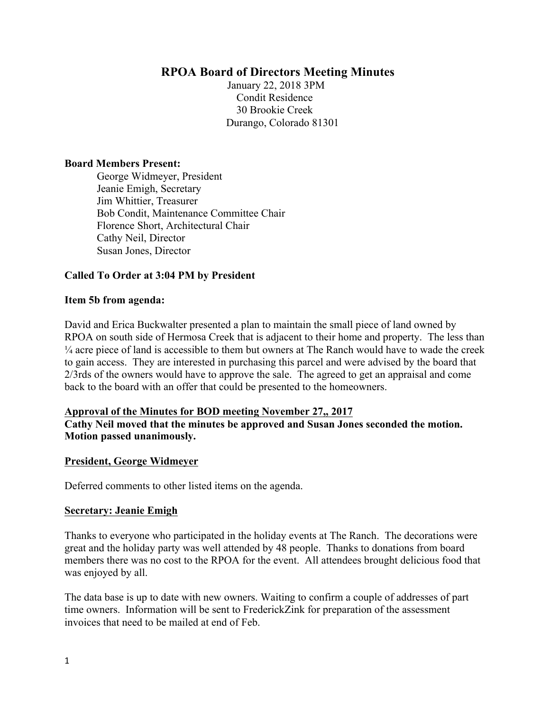# **RPOA Board of Directors Meeting Minutes**

January 22, 2018 3PM Condit Residence 30 Brookie Creek Durango, Colorado 81301

#### **Board Members Present:**

George Widmeyer, President Jeanie Emigh, Secretary Jim Whittier, Treasurer Bob Condit, Maintenance Committee Chair Florence Short, Architectural Chair Cathy Neil, Director Susan Jones, Director

### **Called To Order at 3:04 PM by President**

### **Item 5b from agenda:**

David and Erica Buckwalter presented a plan to maintain the small piece of land owned by RPOA on south side of Hermosa Creek that is adjacent to their home and property. The less than ¼ acre piece of land is accessible to them but owners at The Ranch would have to wade the creek to gain access. They are interested in purchasing this parcel and were advised by the board that 2/3rds of the owners would have to approve the sale. The agreed to get an appraisal and come back to the board with an offer that could be presented to the homeowners.

### **Approval of the Minutes for BOD meeting November 27,, 2017**

**Cathy Neil moved that the minutes be approved and Susan Jones seconded the motion. Motion passed unanimously.** 

### **President, George Widmeyer**

Deferred comments to other listed items on the agenda.

#### **Secretary: Jeanie Emigh**

Thanks to everyone who participated in the holiday events at The Ranch. The decorations were great and the holiday party was well attended by 48 people. Thanks to donations from board members there was no cost to the RPOA for the event. All attendees brought delicious food that was enjoyed by all.

The data base is up to date with new owners. Waiting to confirm a couple of addresses of part time owners. Information will be sent to FrederickZink for preparation of the assessment invoices that need to be mailed at end of Feb.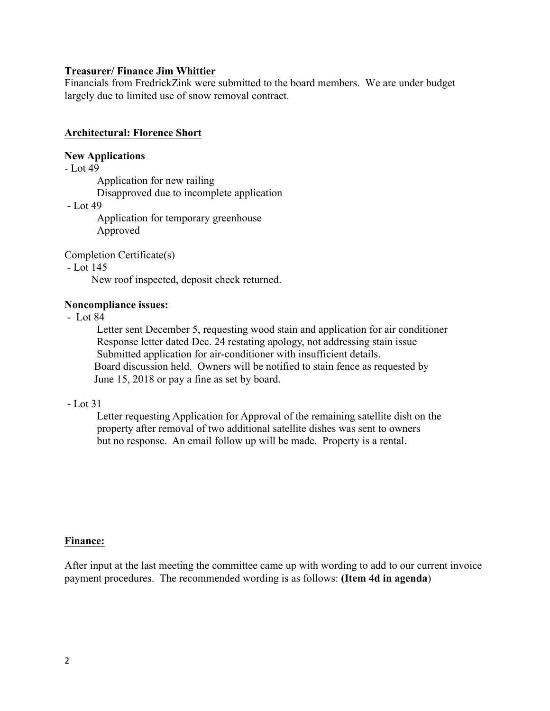#### **Treasurer/ Finance Jim Whittier**

Financials from FredrickZink were submitted to the board members. We are under budget largely due to limited use of snow removal contract.

## **Architectural: Florence Short**

### **New Applications**

- Lot 49

Application for new railing Disapproved due to incomplete application

- Lot 49

Application for temporary greenhouse Approved

Completion Certificate(s)

- Lot 145

New roof inspected, deposit check returned.

### **Noncompliance issues:**

- Lot 84

Letter sent December 5, requesting wood stain and application for air conditioner Response letter dated Dec. 24 restating apology, not addressing stain issue Submitted application for air-conditioner with insufficient details. Board discussion held. Owners will be notified to stain fence as requested by June 15, 2018 or pay a fine as set by board.

#### - Lot 31

Letter requesting Application for Approval of the remaining satellite dish on the property after removal of two additional satellite dishes was sent to owners but no response. An email follow up will be made. Property is a rental.

### **Finance:**

After input at the last meeting the committee came up with wording to add to our current invoice payment procedures. The recommended wording is as follows: **(Item 4d in agenda**)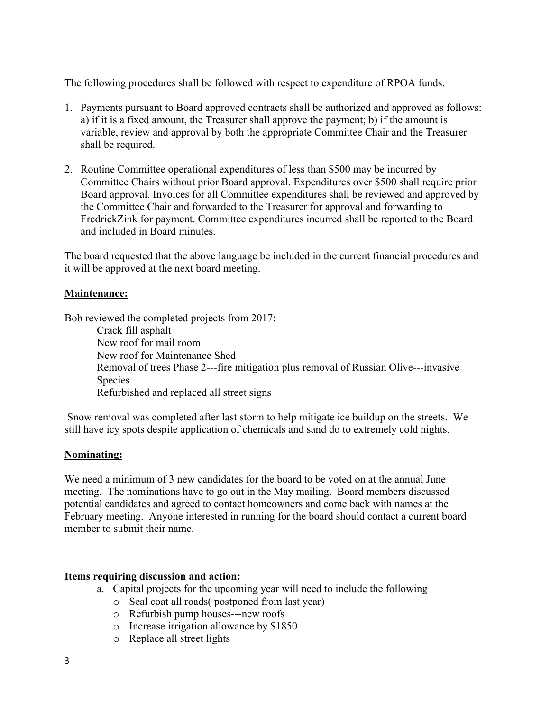The following procedures shall be followed with respect to expenditure of RPOA funds.

- 1. Payments pursuant to Board approved contracts shall be authorized and approved as follows: a) if it is a fixed amount, the Treasurer shall approve the payment; b) if the amount is variable, review and approval by both the appropriate Committee Chair and the Treasurer shall be required.
- 2. Routine Committee operational expenditures of less than \$500 may be incurred by Committee Chairs without prior Board approval. Expenditures over \$500 shall require prior Board approval. Invoices for all Committee expenditures shall be reviewed and approved by the Committee Chair and forwarded to the Treasurer for approval and forwarding to FredrickZink for payment. Committee expenditures incurred shall be reported to the Board and included in Board minutes.

The board requested that the above language be included in the current financial procedures and it will be approved at the next board meeting.

# **Maintenance:**

Bob reviewed the completed projects from 2017:

Crack fill asphalt New roof for mail room New roof for Maintenance Shed Removal of trees Phase 2---fire mitigation plus removal of Russian Olive---invasive Species Refurbished and replaced all street signs

Snow removal was completed after last storm to help mitigate ice buildup on the streets. We still have icy spots despite application of chemicals and sand do to extremely cold nights.

### **Nominating:**

We need a minimum of 3 new candidates for the board to be voted on at the annual June meeting. The nominations have to go out in the May mailing. Board members discussed potential candidates and agreed to contact homeowners and come back with names at the February meeting. Anyone interested in running for the board should contact a current board member to submit their name.

#### **Items requiring discussion and action:**

- a. Capital projects for the upcoming year will need to include the following
	- o Seal coat all roads( postponed from last year)
	- o Refurbish pump houses---new roofs
	- o Increase irrigation allowance by \$1850
	- o Replace all street lights